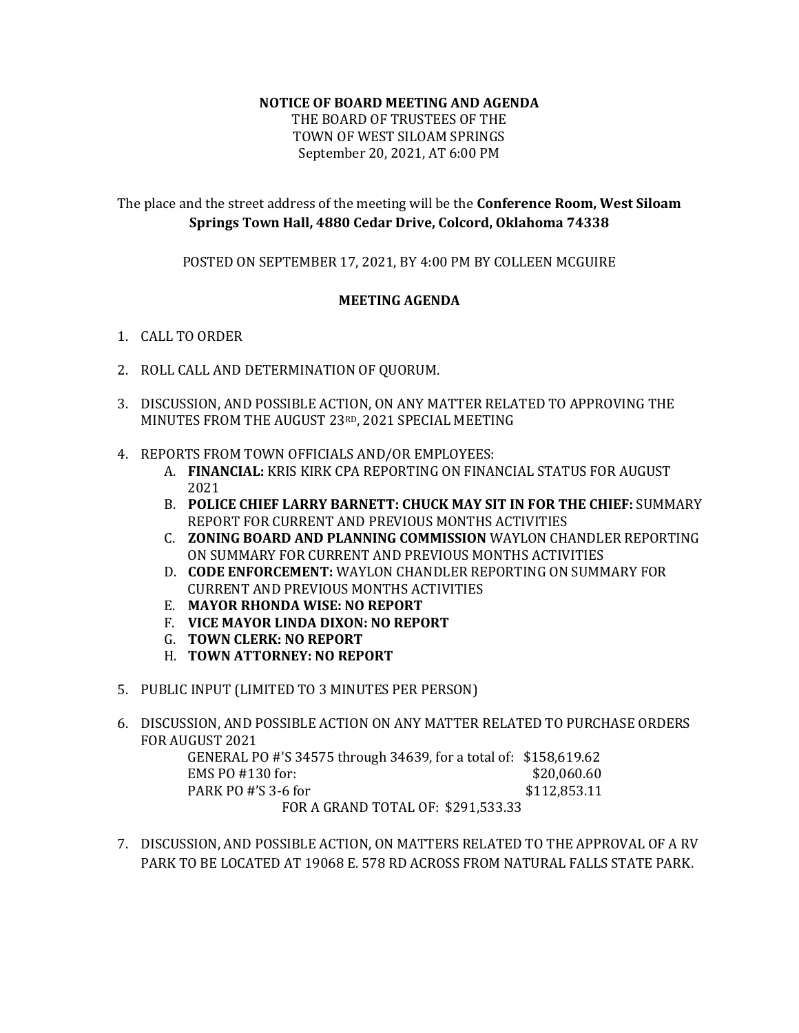## **NOTICE OF BOARD MEETING AND AGENDA**

THE BOARD OF TRUSTEES OF THE TOWN OF WEST SILOAM SPRINGS September 20, 2021, AT 6:00 PM

## The place and the street address of the meeting will be the **Conference Room, West Siloam Springs Town Hall, 4880 Cedar Drive, Colcord, Oklahoma 74338**

POSTED ON SEPTEMBER 17, 2021, BY 4:00 PM BY COLLEEN MCGUIRE

## **MEETING AGENDA**

- 1. CALL TO ORDER
- 2. ROLL CALL AND DETERMINATION OF QUORUM.
- 3. DISCUSSION, AND POSSIBLE ACTION, ON ANY MATTER RELATED TO APPROVING THE MINUTES FROM THE AUGUST 23RD, 2021 SPECIAL MEETING
- 4. REPORTS FROM TOWN OFFICIALS AND/OR EMPLOYEES:
	- A. **FINANCIAL:** KRIS KIRK CPA REPORTING ON FINANCIAL STATUS FOR AUGUST 2021
	- B. **POLICE CHIEF LARRY BARNETT: CHUCK MAY SIT IN FOR THE CHIEF:** SUMMARY REPORT FOR CURRENT AND PREVIOUS MONTHS ACTIVITIES
	- C. **ZONING BOARD AND PLANNING COMMISSION** WAYLON CHANDLER REPORTING ON SUMMARY FOR CURRENT AND PREVIOUS MONTHS ACTIVITIES
	- D. **CODE ENFORCEMENT:** WAYLON CHANDLER REPORTING ON SUMMARY FOR CURRENT AND PREVIOUS MONTHS ACTIVITIES
	- E. **MAYOR RHONDA WISE: NO REPORT**
	- F. **VICE MAYOR LINDA DIXON: NO REPORT**
	- G. **TOWN CLERK: NO REPORT**
	- H. **TOWN ATTORNEY: NO REPORT**
- 5. PUBLIC INPUT (LIMITED TO 3 MINUTES PER PERSON)
- 6. DISCUSSION, AND POSSIBLE ACTION ON ANY MATTER RELATED TO PURCHASE ORDERS FOR AUGUST 2021

GENERAL PO #'S 34575 through 34639, for a total of: \$158,619.62 EMS PO #130 for: \$20,060.60 PARK PO #'S 3-6 for \$112,853.11 FOR A GRAND TOTAL OF: \$291,533.33

7. DISCUSSION, AND POSSIBLE ACTION, ON MATTERS RELATED TO THE APPROVAL OF A RV PARK TO BE LOCATED AT 19068 E. 578 RD ACROSS FROM NATURAL FALLS STATE PARK.